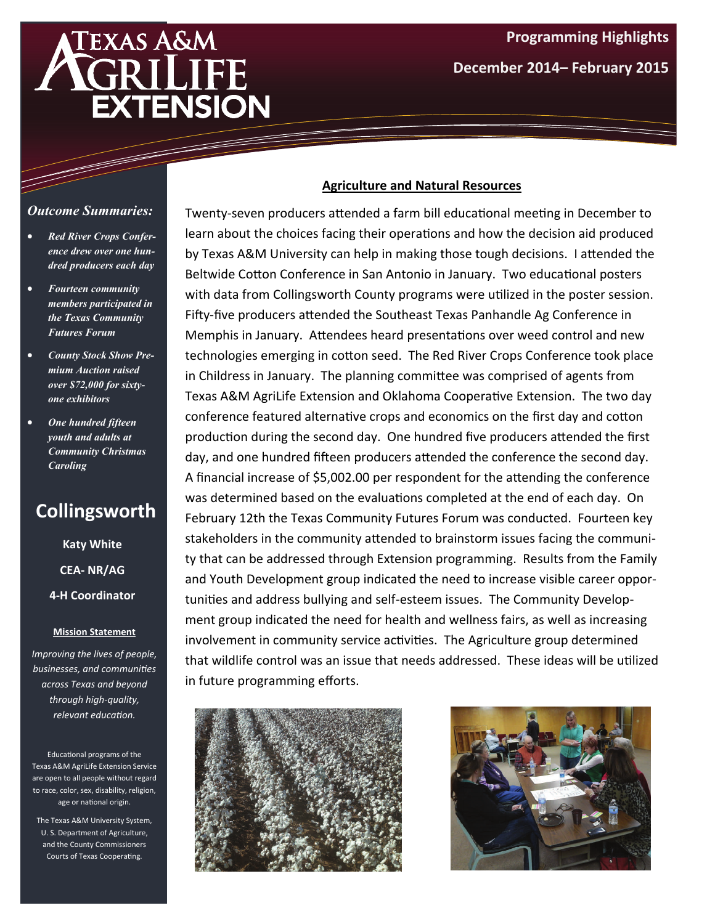# **EXAS A&M** GR **EXTENSION**

## *Outcome Summaries:*

- *Red River Crops Conference drew over one hundred producers each day*
- *Fourteen community members participated in the Texas Community Futures Forum*
- *County Stock Show Premium Auction raised over \$72,000 for sixtyone exhibitors*
- *One hundred fifteen youth and adults at Community Christmas Caroling*

# **Collingsworth**

**Katy White**

**CEA‐ NR/AG**

**4‐H Coordinator**

#### **Mission Statement**

*Improving the lives of people, businesses, and communiƟes across Texas and beyond through high‐quality, relevant educaƟon.*

Educational programs of the Texas A&M AgriLife Extension Service are open to all people without regard to race, color, sex, disability, religion, age or national origin.

The Texas A&M University System, U. S. Department of Agriculture, and the County Commissioners Courts of Texas Cooperating.

## **Agriculture and Natural Resources**

Twenty-seven producers attended a farm bill educational meeting in December to learn about the choices facing their operations and how the decision aid produced by Texas A&M University can help in making those tough decisions. I attended the Beltwide Cotton Conference in San Antonio in January. Two educational posters with data from Collingsworth County programs were utilized in the poster session. Fifty-five producers attended the Southeast Texas Panhandle Ag Conference in Memphis in January. Attendees heard presentations over weed control and new technologies emerging in cotton seed. The Red River Crops Conference took place in Childress in January. The planning committee was comprised of agents from Texas A&M AgriLife Extension and Oklahoma Cooperative Extension. The two day conference featured alternative crops and economics on the first day and cotton production during the second day. One hundred five producers attended the first day, and one hundred fifteen producers attended the conference the second day. A financial increase of \$5,002.00 per respondent for the attending the conference was determined based on the evaluations completed at the end of each day. On February 12th the Texas Community Futures Forum was conducted. Fourteen key stakeholders in the community attended to brainstorm issues facing the community that can be addressed through Extension programming. Results from the Family and Youth Development group indicated the need to increase visible career oppor‐ tunities and address bullying and self-esteem issues. The Community Development group indicated the need for health and wellness fairs, as well as increasing involvement in community service activities. The Agriculture group determined that wildlife control was an issue that needs addressed. These ideas will be utilized in future programming efforts.